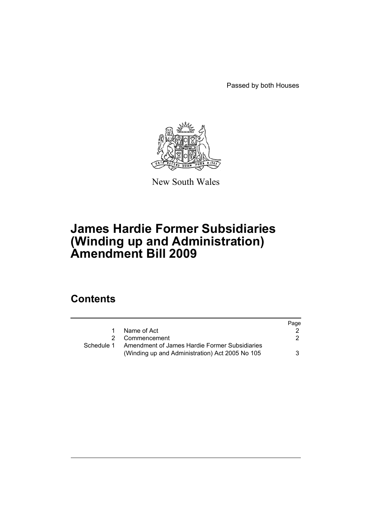Passed by both Houses



New South Wales

# **James Hardie Former Subsidiaries (Winding up and Administration) Amendment Bill 2009**

# **Contents**

|            |                                                                                                  | Page |
|------------|--------------------------------------------------------------------------------------------------|------|
| 1.         | Name of Act                                                                                      |      |
|            | 2 Commencement                                                                                   | 2    |
| Schedule 1 | Amendment of James Hardie Former Subsidiaries<br>(Winding up and Administration) Act 2005 No 105 | 3    |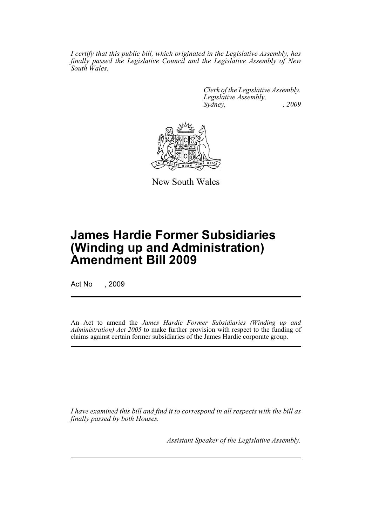*I certify that this public bill, which originated in the Legislative Assembly, has finally passed the Legislative Council and the Legislative Assembly of New South Wales.*

> *Clerk of the Legislative Assembly. Legislative Assembly, Sydney, , 2009*



New South Wales

# **James Hardie Former Subsidiaries (Winding up and Administration) Amendment Bill 2009**

Act No , 2009

An Act to amend the *James Hardie Former Subsidiaries (Winding up and Administration) Act 2005* to make further provision with respect to the funding of claims against certain former subsidiaries of the James Hardie corporate group.

*I have examined this bill and find it to correspond in all respects with the bill as finally passed by both Houses.*

*Assistant Speaker of the Legislative Assembly.*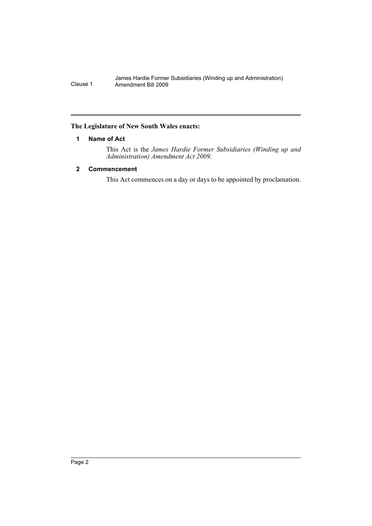# <span id="page-3-0"></span>**The Legislature of New South Wales enacts:**

# **1 Name of Act**

This Act is the *James Hardie Former Subsidiaries (Winding up and Administration) Amendment Act 2009*.

# <span id="page-3-1"></span>**2 Commencement**

This Act commences on a day or days to be appointed by proclamation.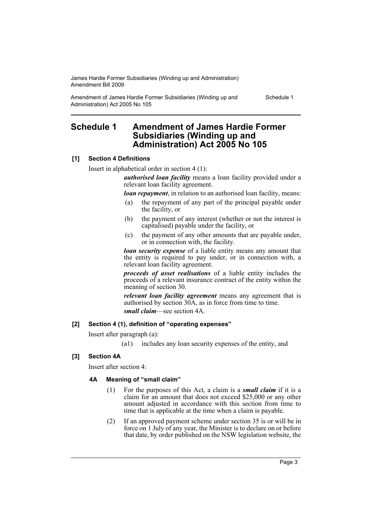Amendment of James Hardie Former Subsidiaries (Winding up and Administration) Act 2005 No 105

Schedule 1

# <span id="page-4-0"></span>**Schedule 1 Amendment of James Hardie Former Subsidiaries (Winding up and Administration) Act 2005 No 105**

# **[1] Section 4 Definitions**

Insert in alphabetical order in section 4 (1):

*authorised loan facility* means a loan facility provided under a relevant loan facility agreement.

*loan repayment*, in relation to an authorised loan facility, means:

- (a) the repayment of any part of the principal payable under the facility, or
- (b) the payment of any interest (whether or not the interest is capitalised) payable under the facility, or
- (c) the payment of any other amounts that are payable under, or in connection with, the facility.

*loan security expense* of a liable entity means any amount that the entity is required to pay under, or in connection with, a relevant loan facility agreement.

*proceeds of asset realisations* of a liable entity includes the proceeds of a relevant insurance contract of the entity within the meaning of section 30.

*relevant loan facility agreement* means any agreement that is authorised by section 30A, as in force from time to time. *small claim*—see section 4A.

# **[2] Section 4 (1), definition of "operating expenses"**

Insert after paragraph (a):

(a1) includes any loan security expenses of the entity, and

# **[3] Section 4A**

Insert after section 4:

# **4A Meaning of "small claim"**

- (1) For the purposes of this Act, a claim is a *small claim* if it is a claim for an amount that does not exceed \$25,000 or any other amount adjusted in accordance with this section from time to time that is applicable at the time when a claim is payable.
- (2) If an approved payment scheme under section 35 is or will be in force on 1 July of any year, the Minister is to declare on or before that date, by order published on the NSW legislation website, the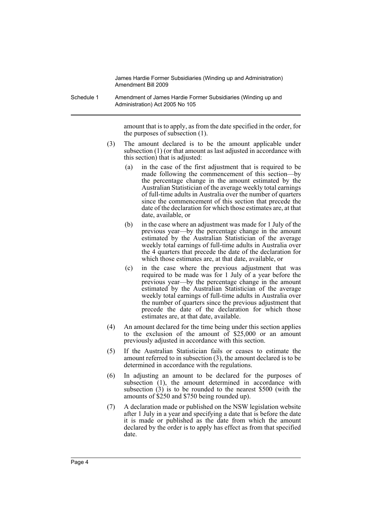Schedule 1 Amendment of James Hardie Former Subsidiaries (Winding up and Administration) Act 2005 No 105

> amount that is to apply, as from the date specified in the order, for the purposes of subsection (1).

- (3) The amount declared is to be the amount applicable under subsection (1) (or that amount as last adjusted in accordance with this section) that is adjusted:
	- (a) in the case of the first adjustment that is required to be made following the commencement of this section—by the percentage change in the amount estimated by the Australian Statistician of the average weekly total earnings of full-time adults in Australia over the number of quarters since the commencement of this section that precede the date of the declaration for which those estimates are, at that date, available, or
	- (b) in the case where an adjustment was made for 1 July of the previous year—by the percentage change in the amount estimated by the Australian Statistician of the average weekly total earnings of full-time adults in Australia over the 4 quarters that precede the date of the declaration for which those estimates are, at that date, available, or
	- (c) in the case where the previous adjustment that was required to be made was for 1 July of a year before the previous year—by the percentage change in the amount estimated by the Australian Statistician of the average weekly total earnings of full-time adults in Australia over the number of quarters since the previous adjustment that precede the date of the declaration for which those estimates are, at that date, available.
- (4) An amount declared for the time being under this section applies to the exclusion of the amount of \$25,000 or an amount previously adjusted in accordance with this section.
- (5) If the Australian Statistician fails or ceases to estimate the amount referred to in subsection (3), the amount declared is to be determined in accordance with the regulations.
- (6) In adjusting an amount to be declared for the purposes of subsection (1), the amount determined in accordance with subsection  $(3)$  is to be rounded to the nearest \$500 (with the amounts of \$250 and \$750 being rounded up).
- (7) A declaration made or published on the NSW legislation website after 1 July in a year and specifying a date that is before the date it is made or published as the date from which the amount declared by the order is to apply has effect as from that specified date.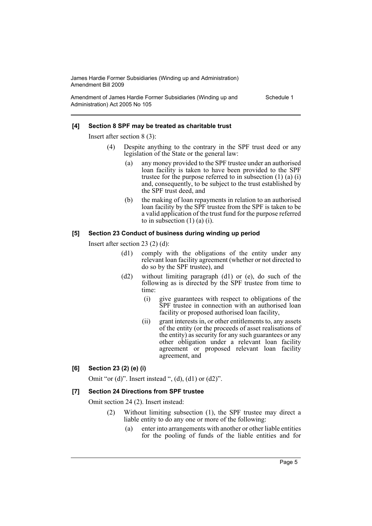Amendment of James Hardie Former Subsidiaries (Winding up and Administration) Act 2005 No 105

Schedule 1

### **[4] Section 8 SPF may be treated as charitable trust**

Insert after section 8 (3):

- (4) Despite anything to the contrary in the SPF trust deed or any legislation of the State or the general law:
	- (a) any money provided to the SPF trustee under an authorised loan facility is taken to have been provided to the SPF trustee for the purpose referred to in subsection (1) (a) (i) and, consequently, to be subject to the trust established by the SPF trust deed, and
	- (b) the making of loan repayments in relation to an authorised loan facility by the SPF trustee from the SPF is taken to be a valid application of the trust fund for the purpose referred to in subsection  $(1)$   $(a)$   $(i)$ .

### **[5] Section 23 Conduct of business during winding up period**

Insert after section 23 (2) (d):

- (d1) comply with the obligations of the entity under any relevant loan facility agreement (whether or not directed to do so by the SPF trustee), and
- (d2) without limiting paragraph (d1) or (e), do such of the following as is directed by the SPF trustee from time to time:
	- (i) give guarantees with respect to obligations of the SPF trustee in connection with an authorised loan facility or proposed authorised loan facility,
	- (ii) grant interests in, or other entitlements to, any assets of the entity (or the proceeds of asset realisations of the entity) as security for any such guarantees or any other obligation under a relevant loan facility agreement or proposed relevant loan facility agreement, and

### **[6] Section 23 (2) (e) (i)**

Omit "or  $(d)$ ". Insert instead ",  $(d)$ ,  $(d)$  or  $(d2)$ ".

### **[7] Section 24 Directions from SPF trustee**

Omit section 24 (2). Insert instead:

- (2) Without limiting subsection (1), the SPF trustee may direct a liable entity to do any one or more of the following:
	- (a) enter into arrangements with another or other liable entities for the pooling of funds of the liable entities and for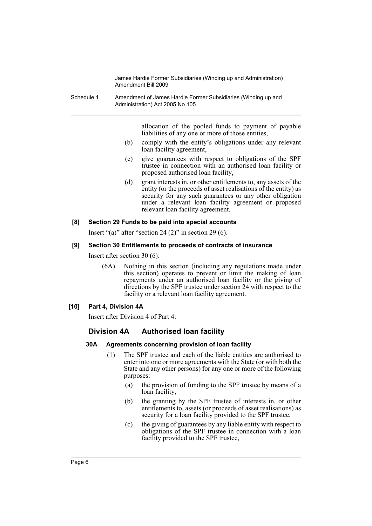Schedule 1 Amendment of James Hardie Former Subsidiaries (Winding up and Administration) Act 2005 No 105

> allocation of the pooled funds to payment of payable liabilities of any one or more of those entities,

- (b) comply with the entity's obligations under any relevant loan facility agreement,
- (c) give guarantees with respect to obligations of the SPF trustee in connection with an authorised loan facility or proposed authorised loan facility,
- (d) grant interests in, or other entitlements to, any assets of the entity (or the proceeds of asset realisations of the entity) as security for any such guarantees or any other obligation under a relevant loan facility agreement or proposed relevant loan facility agreement.

### **[8] Section 29 Funds to be paid into special accounts**

Insert "(a)" after "section 24  $(2)$ " in section 29  $(6)$ .

### **[9] Section 30 Entitlements to proceeds of contracts of insurance**

Insert after section 30 (6):

(6A) Nothing in this section (including any regulations made under this section) operates to prevent or limit the making of loan repayments under an authorised loan facility or the giving of directions by the SPF trustee under section 24 with respect to the facility or a relevant loan facility agreement.

### **[10] Part 4, Division 4A**

Insert after Division 4 of Part 4:

# **Division 4A Authorised loan facility**

### **30A Agreements concerning provision of loan facility**

- (1) The SPF trustee and each of the liable entities are authorised to enter into one or more agreements with the State (or with both the State and any other persons) for any one or more of the following purposes:
	- (a) the provision of funding to the SPF trustee by means of a loan facility,
	- (b) the granting by the SPF trustee of interests in, or other entitlements to, assets (or proceeds of asset realisations) as security for a loan facility provided to the SPF trustee,
	- (c) the giving of guarantees by any liable entity with respect to obligations of the SPF trustee in connection with a loan facility provided to the SPF trustee,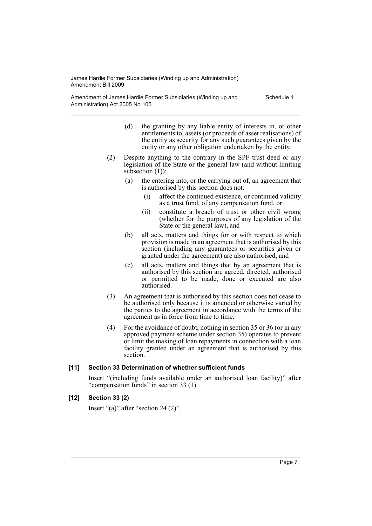Amendment of James Hardie Former Subsidiaries (Winding up and Administration) Act 2005 No 105

Schedule 1

- (d) the granting by any liable entity of interests in, or other entitlements to, assets (or proceeds of asset realisations) of the entity as security for any such guarantees given by the entity or any other obligation undertaken by the entity.
- (2) Despite anything to the contrary in the SPF trust deed or any legislation of the State or the general law (and without limiting subsection  $(1)$ :
	- (a) the entering into, or the carrying out of, an agreement that is authorised by this section does not:
		- (i) affect the continued existence, or continued validity as a trust fund, of any compensation fund, or
		- (ii) constitute a breach of trust or other civil wrong (whether for the purposes of any legislation of the State or the general law), and
	- (b) all acts, matters and things for or with respect to which provision is made in an agreement that is authorised by this section (including any guarantees or securities given or granted under the agreement) are also authorised, and
	- (c) all acts, matters and things that by an agreement that is authorised by this section are agreed, directed, authorised or permitted to be made, done or executed are also authorised.
- (3) An agreement that is authorised by this section does not cease to be authorised only because it is amended or otherwise varied by the parties to the agreement in accordance with the terms of the agreement as in force from time to time.
- (4) For the avoidance of doubt, nothing in section 35 or 36 (or in any approved payment scheme under section 35) operates to prevent or limit the making of loan repayments in connection with a loan facility granted under an agreement that is authorised by this section.

# **[11] Section 33 Determination of whether sufficient funds**

Insert "(including funds available under an authorised loan facility)" after "compensation funds" in section 33 (1).

# **[12] Section 33 (2)**

Insert "(a)" after "section 24 (2)".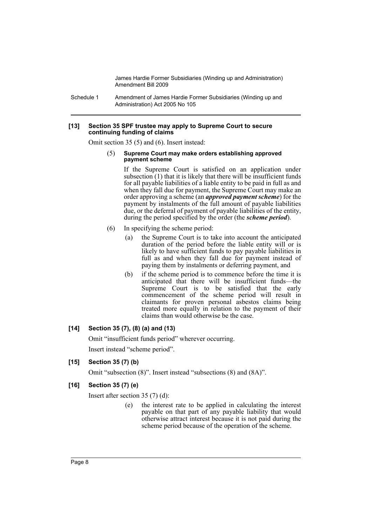Schedule 1 Amendment of James Hardie Former Subsidiaries (Winding up and Administration) Act 2005 No 105

#### **[13] Section 35 SPF trustee may apply to Supreme Court to secure continuing funding of claims**

Omit section 35 (5) and (6). Insert instead:

#### (5) **Supreme Court may make orders establishing approved payment scheme**

If the Supreme Court is satisfied on an application under subsection  $(1)$  that it is likely that there will be insufficient funds for all payable liabilities of a liable entity to be paid in full as and when they fall due for payment, the Supreme Court may make an order approving a scheme (an *approved payment scheme*) for the payment by instalments of the full amount of payable liabilities due, or the deferral of payment of payable liabilities of the entity, during the period specified by the order (the *scheme period*).

- (6) In specifying the scheme period:
	- (a) the Supreme Court is to take into account the anticipated duration of the period before the liable entity will or is likely to have sufficient funds to pay payable liabilities in full as and when they fall due for payment instead of paying them by instalments or deferring payment, and
	- (b) if the scheme period is to commence before the time it is anticipated that there will be insufficient funds—the Supreme Court is to be satisfied that the early commencement of the scheme period will result in claimants for proven personal asbestos claims being treated more equally in relation to the payment of their claims than would otherwise be the case.

# **[14] Section 35 (7), (8) (a) and (13)**

Omit "insufficient funds period" wherever occurring.

Insert instead "scheme period".

# **[15] Section 35 (7) (b)**

Omit "subsection (8)". Insert instead "subsections (8) and (8A)".

# **[16] Section 35 (7) (e)**

Insert after section 35 (7) (d):

(e) the interest rate to be applied in calculating the interest payable on that part of any payable liability that would otherwise attract interest because it is not paid during the scheme period because of the operation of the scheme.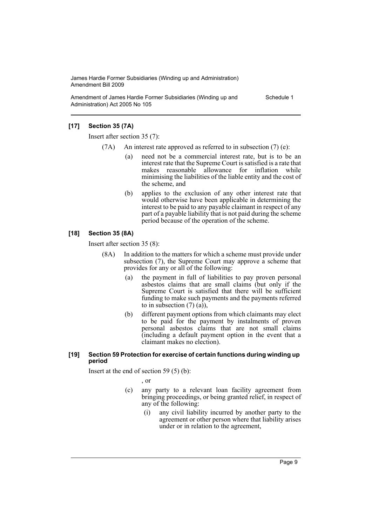Amendment of James Hardie Former Subsidiaries (Winding up and Administration) Act 2005 No 105

Schedule 1

### **[17] Section 35 (7A)**

Insert after section 35 (7):

- (7A) An interest rate approved as referred to in subsection  $(7)$  (e):
	- (a) need not be a commercial interest rate, but is to be an interest rate that the Supreme Court is satisfied is a rate that makes reasonable allowance for inflation while minimising the liabilities of the liable entity and the cost of the scheme, and
	- (b) applies to the exclusion of any other interest rate that would otherwise have been applicable in determining the interest to be paid to any payable claimant in respect of any part of a payable liability that is not paid during the scheme period because of the operation of the scheme.

### **[18] Section 35 (8A)**

Insert after section 35 (8):

- (8A) In addition to the matters for which a scheme must provide under subsection (7), the Supreme Court may approve a scheme that provides for any or all of the following:
	- (a) the payment in full of liabilities to pay proven personal asbestos claims that are small claims (but only if the Supreme Court is satisfied that there will be sufficient funding to make such payments and the payments referred to in subsection  $(7)$   $(a)$ ),
	- (b) different payment options from which claimants may elect to be paid for the payment by instalments of proven personal asbestos claims that are not small claims (including a default payment option in the event that a claimant makes no election).

### **[19] Section 59 Protection for exercise of certain functions during winding up period**

Insert at the end of section 59 (5) (b):

, or

- (c) any party to a relevant loan facility agreement from bringing proceedings, or being granted relief, in respect of any of the following:
	- (i) any civil liability incurred by another party to the agreement or other person where that liability arises under or in relation to the agreement,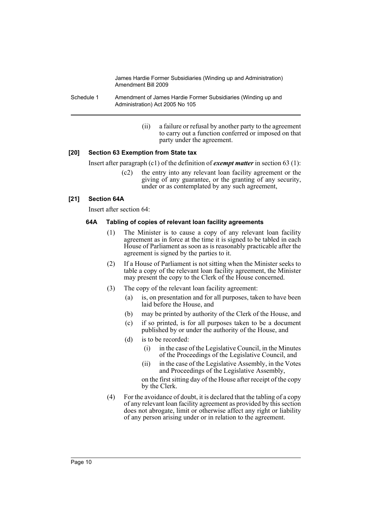Schedule 1 Amendment of James Hardie Former Subsidiaries (Winding up and Administration) Act 2005 No 105

> (ii) a failure or refusal by another party to the agreement to carry out a function conferred or imposed on that party under the agreement.

# **[20] Section 63 Exemption from State tax**

Insert after paragraph (c1) of the definition of *exempt matter* in section 63 (1):

(c2) the entry into any relevant loan facility agreement or the giving of any guarantee, or the granting of any security, under or as contemplated by any such agreement,

### **[21] Section 64A**

Insert after section 64:

### **64A Tabling of copies of relevant loan facility agreements**

- (1) The Minister is to cause a copy of any relevant loan facility agreement as in force at the time it is signed to be tabled in each House of Parliament as soon as is reasonably practicable after the agreement is signed by the parties to it.
- (2) If a House of Parliament is not sitting when the Minister seeks to table a copy of the relevant loan facility agreement, the Minister may present the copy to the Clerk of the House concerned.
- (3) The copy of the relevant loan facility agreement:
	- (a) is, on presentation and for all purposes, taken to have been laid before the House, and
	- (b) may be printed by authority of the Clerk of the House, and
	- (c) if so printed, is for all purposes taken to be a document published by or under the authority of the House, and
	- (d) is to be recorded:
		- (i) in the case of the Legislative Council, in the Minutes of the Proceedings of the Legislative Council, and
		- (ii) in the case of the Legislative Assembly, in the Votes and Proceedings of the Legislative Assembly,

on the first sitting day of the House after receipt of the copy by the Clerk.

(4) For the avoidance of doubt, it is declared that the tabling of a copy of any relevant loan facility agreement as provided by this section does not abrogate, limit or otherwise affect any right or liability of any person arising under or in relation to the agreement.